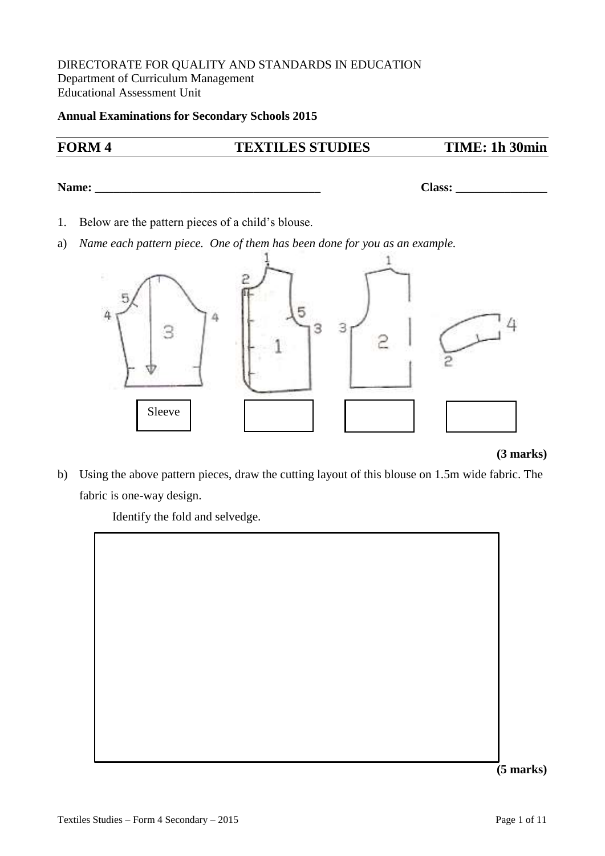### DIRECTORATE FOR QUALITY AND STANDARDS IN EDUCATION Department of Curriculum Management Educational Assessment Unit

#### **Annual Examinations for Secondary Schools 2015**

# **FORM 4 TEXTILES STUDIES TIME: 1h 30min**

**Name: Class: Class: Class: Class: Class: Class: Class: Class: Class: Class: Class: Class: Class: Class: Class: Class: Class: CLASS: CLASS: CLASS: CLASS: CLASS: CLASS: CLASS:** 

- 1. Below are the pattern pieces of a child's blouse.
- a) *Name each pattern piece. One of them has been done for you as an example.*



#### **(3 marks)**

b) Using the above pattern pieces, draw the cutting layout of this blouse on 1.5m wide fabric. The fabric is one-way design.

Identify the fold and selvedge.



**(5 marks)**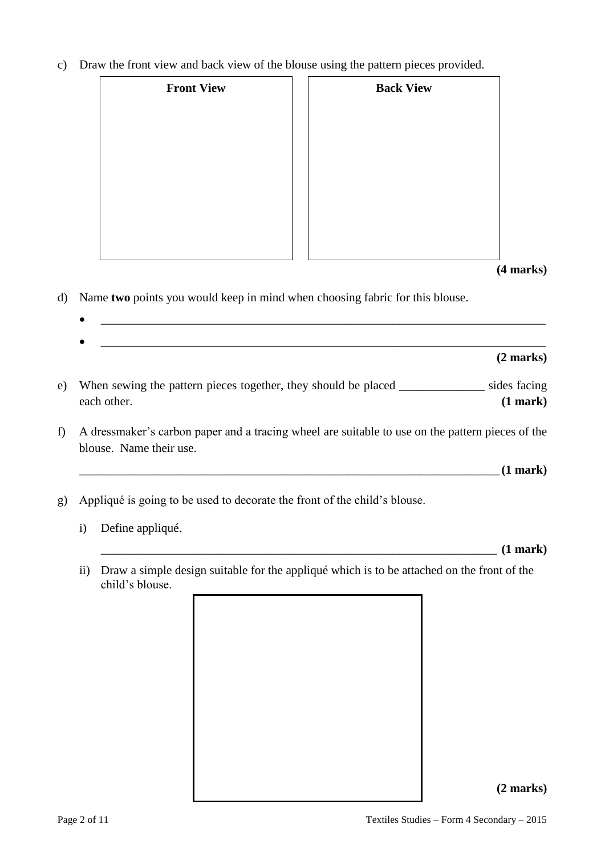c) Draw the front view and back view of the blouse using the pattern pieces provided.

| <b>Front View</b> | <b>Back View</b> |
|-------------------|------------------|
|                   |                  |
|                   |                  |
|                   |                  |
|                   |                  |
|                   |                  |
|                   |                  |
|                   | $(4$ marks $)$   |

- d) Name **two** points you would keep in mind when choosing fabric for this blouse.
	- \_\_\_\_\_\_\_\_\_\_\_\_\_\_\_\_\_\_\_\_\_\_\_\_\_\_\_\_\_\_\_\_\_\_\_\_\_\_\_\_\_\_\_\_\_\_\_\_\_\_\_\_\_\_\_\_\_\_\_\_\_\_\_\_\_\_\_\_\_\_\_\_\_
	- \_\_\_\_\_\_\_\_\_\_\_\_\_\_\_\_\_\_\_\_\_\_\_\_\_\_\_\_\_\_\_\_\_\_\_\_\_\_\_\_\_\_\_\_\_\_\_\_\_\_\_\_\_\_\_\_\_\_\_\_\_\_\_\_\_\_\_\_\_\_\_\_\_ **(2 marks)**
- e) When sewing the pattern pieces together, they should be placed \_\_\_\_\_\_\_\_\_\_\_\_\_\_ sides facing each other. **(1 mark)**
- f) A dressmaker's carbon paper and a tracing wheel are suitable to use on the pattern pieces of the blouse. Name their use.

 $(1 \text{ mark})$ 

- g) Appliqué is going to be used to decorate the front of the child's blouse.
	- i) Define appliqué.

\_\_\_\_\_\_\_\_\_\_\_\_\_\_\_\_\_\_\_\_\_\_\_\_\_\_\_\_\_\_\_\_\_\_\_\_\_\_\_\_\_\_\_\_\_\_\_\_\_\_\_\_\_\_\_\_\_\_\_\_\_\_\_\_\_ **(1 mark)**

ii) Draw a simple design suitable for the appliqué which is to be attached on the front of the child's blouse.



## **(2 marks)**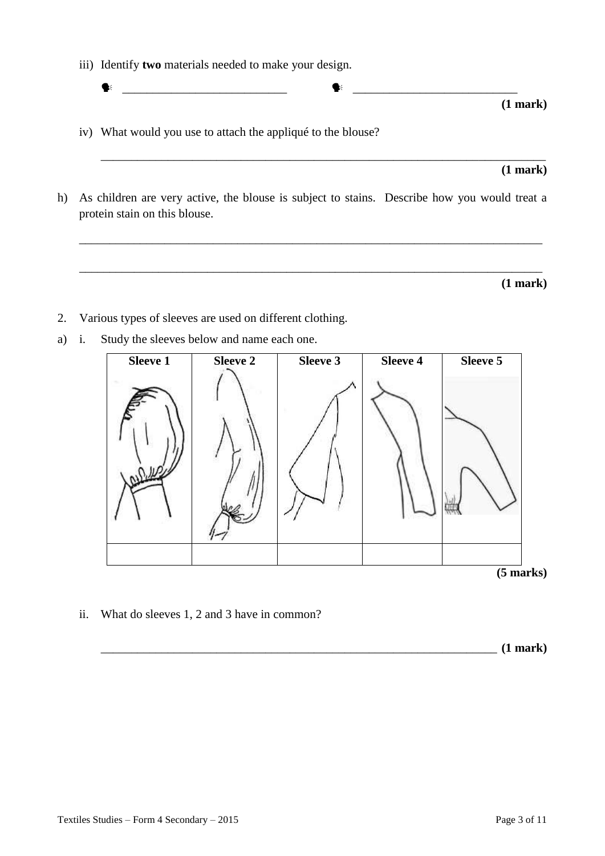iii) Identify **two** materials needed to make your design.

\_\_\_\_\_\_\_\_\_\_\_\_\_\_\_\_\_\_\_\_\_\_\_\_\_\_\_ \_\_\_\_\_\_\_\_\_\_\_\_\_\_\_\_\_\_\_\_\_\_\_\_\_\_\_

iv) What would you use to attach the appliqué to the blouse?

#### **(1 mark)**

**(1 mark)**

h) As children are very active, the blouse is subject to stains. Describe how you would treat a protein stain on this blouse.

\_\_\_\_\_\_\_\_\_\_\_\_\_\_\_\_\_\_\_\_\_\_\_\_\_\_\_\_\_\_\_\_\_\_\_\_\_\_\_\_\_\_\_\_\_\_\_\_\_\_\_\_\_\_\_\_\_\_\_\_\_\_\_\_\_\_\_\_\_\_\_\_\_\_\_\_

\_\_\_\_\_\_\_\_\_\_\_\_\_\_\_\_\_\_\_\_\_\_\_\_\_\_\_\_\_\_\_\_\_\_\_\_\_\_\_\_\_\_\_\_\_\_\_\_\_\_\_\_\_\_\_\_\_\_\_\_\_\_\_\_\_\_\_\_\_\_\_\_\_\_\_\_

\_\_\_\_\_\_\_\_\_\_\_\_\_\_\_\_\_\_\_\_\_\_\_\_\_\_\_\_\_\_\_\_\_\_\_\_\_\_\_\_\_\_\_\_\_\_\_\_\_\_\_\_\_\_\_\_\_\_\_\_\_\_\_\_\_\_\_\_\_\_\_\_\_

**(1 mark)**

- 2. Various types of sleeves are used on different clothing.
- a) i. Study the sleeves below and name each one.



ii. What do sleeves 1, 2 and 3 have in common?

\_\_\_\_\_\_\_\_\_\_\_\_\_\_\_\_\_\_\_\_\_\_\_\_\_\_\_\_\_\_\_\_\_\_\_\_\_\_\_\_\_\_\_\_\_\_\_\_\_\_\_\_\_\_\_\_\_\_\_\_\_\_\_\_\_ **(1 mark)**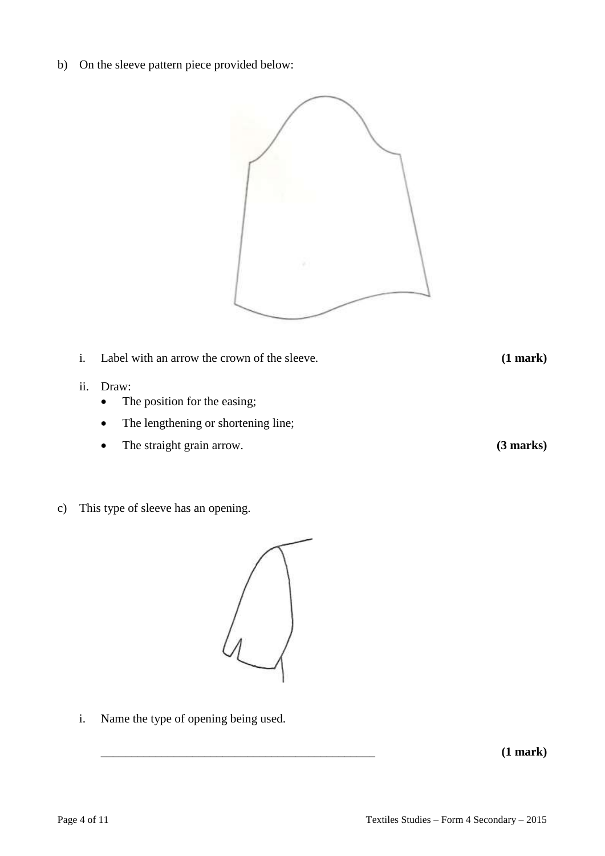b) On the sleeve pattern piece provided below:



- i. Label with an arrow the crown of the sleeve. **(1 mark)**
- ii. Draw:
	- The position for the easing;
	- The lengthening or shortening line;
	- The straight grain arrow. **(3 marks)**

i. Name the type of opening being used.

c) This type of sleeve has an opening.



\_\_\_\_\_\_\_\_\_\_\_\_\_\_\_\_\_\_\_\_\_\_\_\_\_\_\_\_\_\_\_\_\_\_\_\_\_\_\_\_\_\_\_\_\_ **(1 mark)**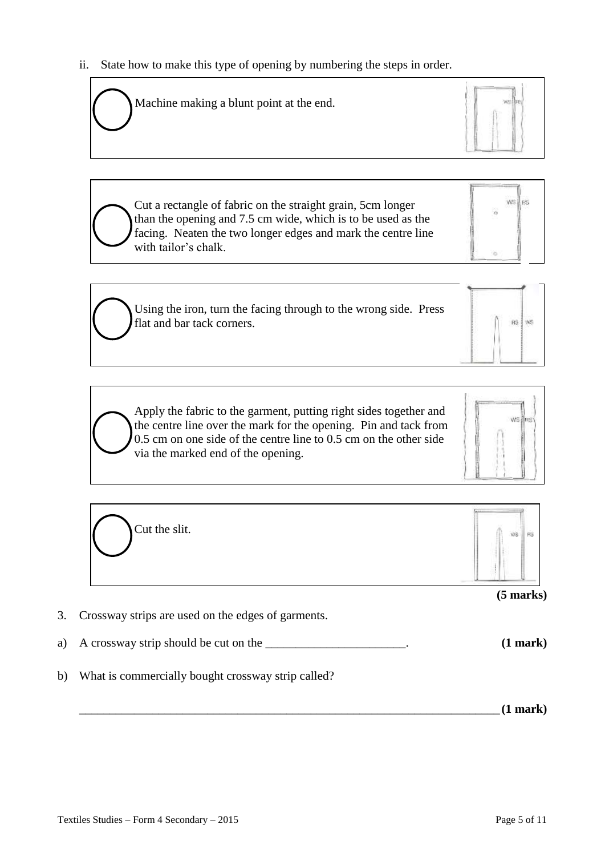ii. State how to make this type of opening by numbering the steps in order.

Machine making a blunt point at the end.



**HS** WS

AS WS

Cut a rectangle of fabric on the straight grain, 5cm longer than the opening and 7.5 cm wide, which is to be used as the facing. Neaten the two longer edges and mark the centre line with tailor's chalk.

Using the iron, turn the facing through to the wrong side. Press flat and bar tack corners.

Apply the fabric to the garment, putting right sides together and the centre line over the mark for the opening. Pin and tack from 0.5 cm on one side of the centre line to 0.5 cm on the other side via the marked end of the opening.



| Cut the slit. | WS.         |
|---------------|-------------|
|               |             |
|               | $(5$ marks) |

- a) A crossway strip should be cut on the \_\_\_\_\_\_\_\_\_\_\_\_\_\_\_\_\_\_\_\_\_\_\_\_. **(1 mark)**
- b) What is commercially bought crossway strip called?

\_\_\_\_\_\_\_\_\_\_\_\_\_\_\_\_\_\_\_\_\_\_\_\_\_\_\_\_\_\_\_\_\_\_\_\_\_\_\_\_\_\_\_\_\_\_\_\_\_\_\_\_\_\_\_\_\_\_\_\_\_\_\_\_\_\_\_\_\_ **(1 mark)**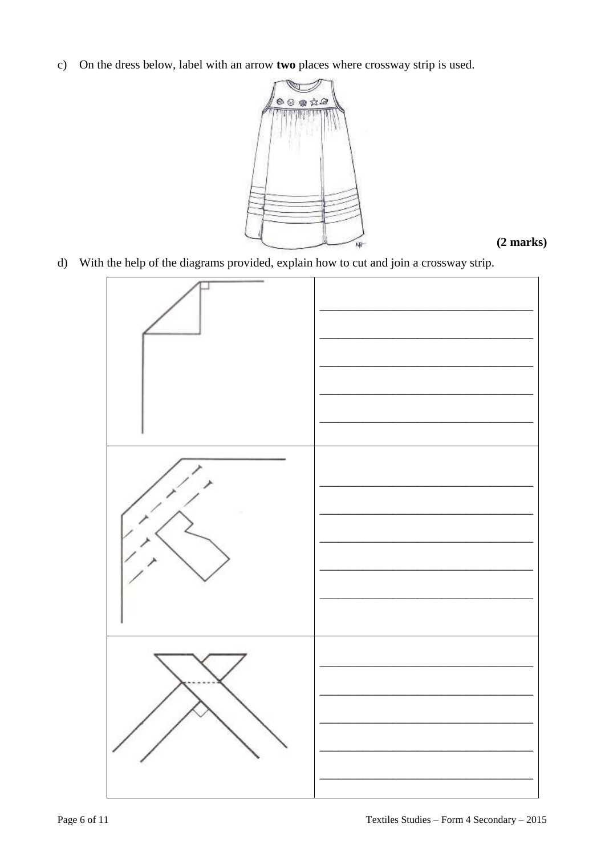c) On the dress below, label with an arrow two places where crossway strip is used.



 $(2 \text{ marks})$ 

d) With the help of the diagrams provided, explain how to cut and join a crossway strip.

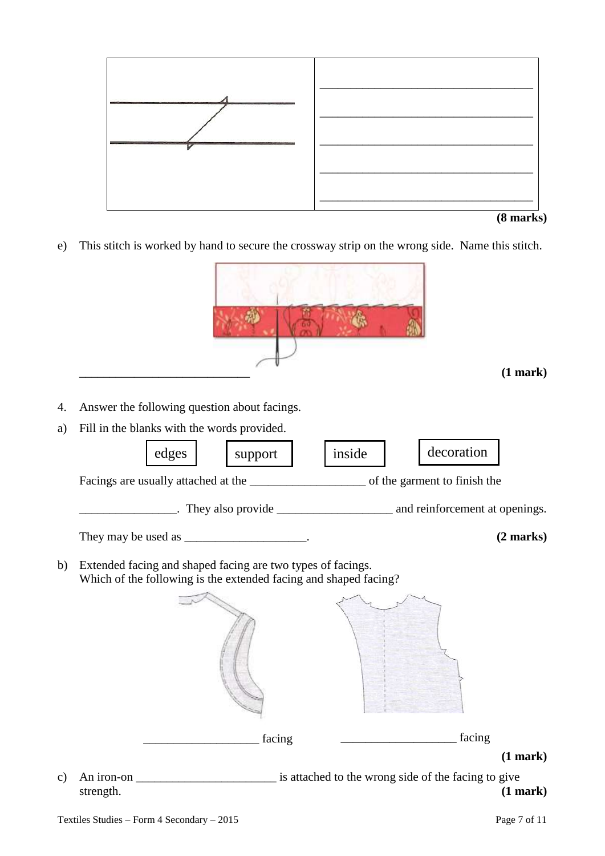

|  | $(8 \text{ marks})$ |
|--|---------------------|
|--|---------------------|

e) This stitch is worked by hand to secure the crossway strip on the wrong side. Name this stitch.

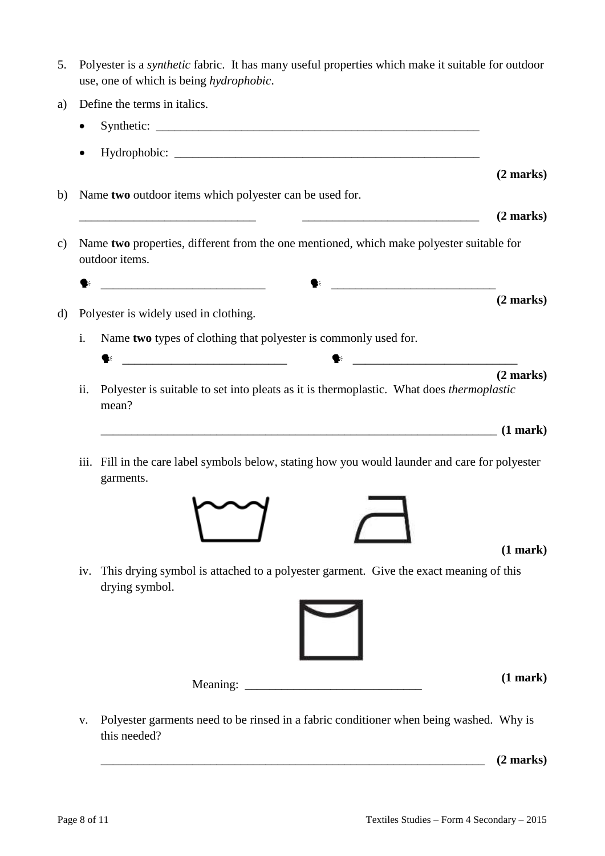- 5. Polyester is a *synthetic* fabric. It has many useful properties which make it suitable for outdoor use, one of which is being *hydrophobic*.
- a) Define the terms in italics.
- Synthetic: \_\_\_\_\_\_\_\_\_\_\_\_\_\_\_\_\_\_\_\_\_\_\_\_\_\_\_\_\_\_\_\_\_\_\_\_\_\_\_\_\_\_\_\_\_\_\_\_\_\_\_\_\_ Hydrophobic: **(2 marks)** b) Name **two** outdoor items which polyester can be used for.  $(2 \text{ marks})$ c) Name **two** properties, different from the one mentioned, which make polyester suitable for outdoor items.  $\blacklozenge$ **(2 marks)** d) Polyester is widely used in clothing. i. Name **two** types of clothing that polyester is commonly used for.  $\bullet$ **(2 marks)** ii. Polyester is suitable to set into pleats as it is thermoplastic. What does *thermoplastic* mean?  $(1 \text{ mark})$ iii. Fill in the care label symbols below, stating how you would launder and care for polyester garments. **(1 mark)**
	- iv. This drying symbol is attached to a polyester garment. Give the exact meaning of this drying symbol.



**(1 mark)**

v. Polyester garments need to be rinsed in a fabric conditioner when being washed. Why is this needed?

Meaning:

 $(2 \text{ marks})$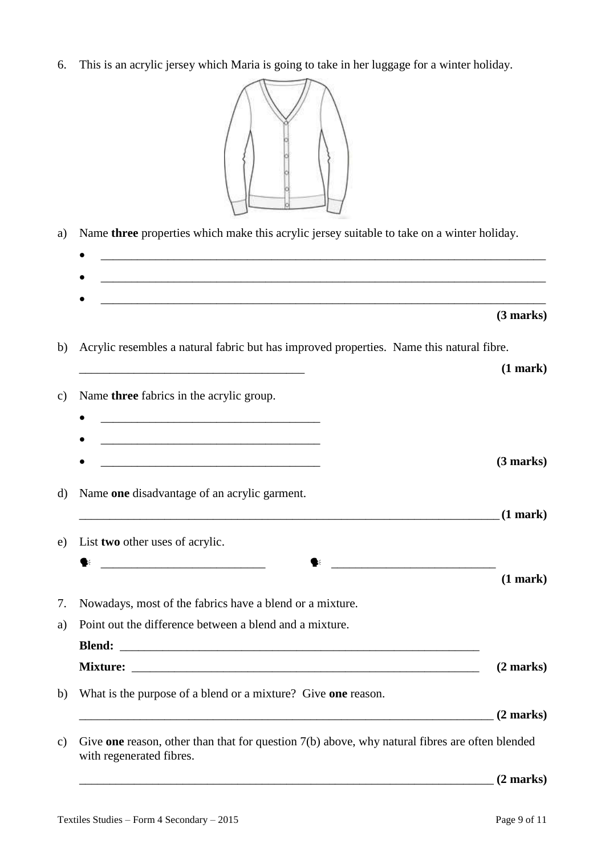6. This is an acrylic jersey which Maria is going to take in her luggage for a winter holiday.



| a)      | Name three properties which make this acrylic jersey suitable to take on a winter holiday.                                                                                                                                                    |                     |
|---------|-----------------------------------------------------------------------------------------------------------------------------------------------------------------------------------------------------------------------------------------------|---------------------|
|         | <u> 1989 - Jan Barbara, martxa al II-lea (h. 1989).</u>                                                                                                                                                                                       |                     |
|         |                                                                                                                                                                                                                                               | (3 marks)           |
| b)      | Acrylic resembles a natural fabric but has improved properties. Name this natural fibre.                                                                                                                                                      |                     |
|         |                                                                                                                                                                                                                                               | (1 mark)            |
| c)      | Name three fabrics in the acrylic group.                                                                                                                                                                                                      |                     |
|         |                                                                                                                                                                                                                                               |                     |
|         | <u> 1989 - Johann Barbara, martxa alemaniar argumento estas políticas en la contrada de la contrada de la contrad</u><br><u> 1989 - Johann Barbara, marka a shekara tsa 1989 - An tsa 1989 - An tsa 1989 - An tsa 1989 - An tsa 1989 - An</u> | (3 marks)           |
|         |                                                                                                                                                                                                                                               |                     |
| $\rm d$ | Name one disadvantage of an acrylic garment.<br><u> 1989 - Jan James Alexandro III (m. 1989)</u>                                                                                                                                              | $(1$ mark)          |
| e)      | List two other uses of acrylic.                                                                                                                                                                                                               |                     |
|         |                                                                                                                                                                                                                                               |                     |
|         |                                                                                                                                                                                                                                               | (1 mark)            |
|         | Nowadays, most of the fabrics have a blend or a mixture.                                                                                                                                                                                      |                     |
| a)      | Point out the difference between a blend and a mixture.                                                                                                                                                                                       |                     |
|         |                                                                                                                                                                                                                                               |                     |
|         |                                                                                                                                                                                                                                               | (2 marks)           |
| b)      | What is the purpose of a blend or a mixture? Give one reason.                                                                                                                                                                                 |                     |
|         |                                                                                                                                                                                                                                               | $(2 \text{ marks})$ |
| c)      | Give one reason, other than that for question $7(b)$ above, why natural fibres are often blended<br>with regenerated fibres.                                                                                                                  |                     |

\_\_\_\_\_\_\_\_\_\_\_\_\_\_\_\_\_\_\_\_\_\_\_\_\_\_\_\_\_\_\_\_\_\_\_\_\_\_\_\_\_\_\_\_\_\_\_\_\_\_\_\_\_\_\_\_\_\_\_\_\_\_\_\_\_\_\_\_ **(2 marks)**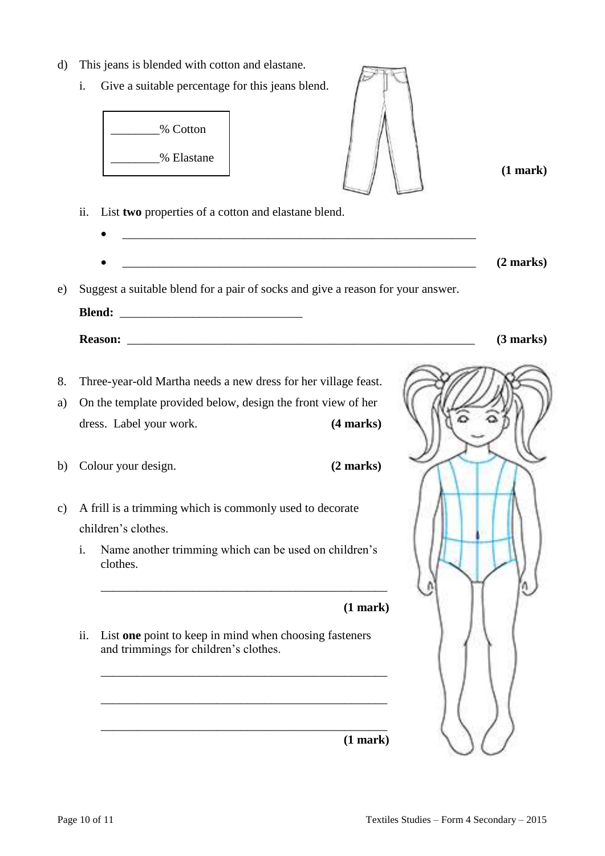- d) This jeans is blended with cotton and elastane.
	- i. Give a suitable percentage for this jeans blend.



i. Name another trimming which can be used on children's clothes.

\_\_\_\_\_\_\_\_\_\_\_\_\_\_\_\_\_\_\_\_\_\_\_\_\_\_\_\_\_\_\_\_\_\_\_\_\_\_\_\_\_\_\_\_\_\_\_

\_\_\_\_\_\_\_\_\_\_\_\_\_\_\_\_\_\_\_\_\_\_\_\_\_\_\_\_\_\_\_\_\_\_\_\_\_\_\_\_\_\_\_\_\_\_\_

\_\_\_\_\_\_\_\_\_\_\_\_\_\_\_\_\_\_\_\_\_\_\_\_\_\_\_\_\_\_\_\_\_\_\_\_\_\_\_\_\_\_\_\_\_\_\_

\_\_\_\_\_\_\_\_\_\_\_\_\_\_\_\_\_\_\_\_\_\_\_\_\_\_\_\_\_\_\_\_\_\_\_\_\_\_\_\_\_\_\_\_\_\_\_

**(1 mark)**

ii. List **one** point to keep in mind when choosing fasteners and trimmings for children's clothes.



**(1 mark)**